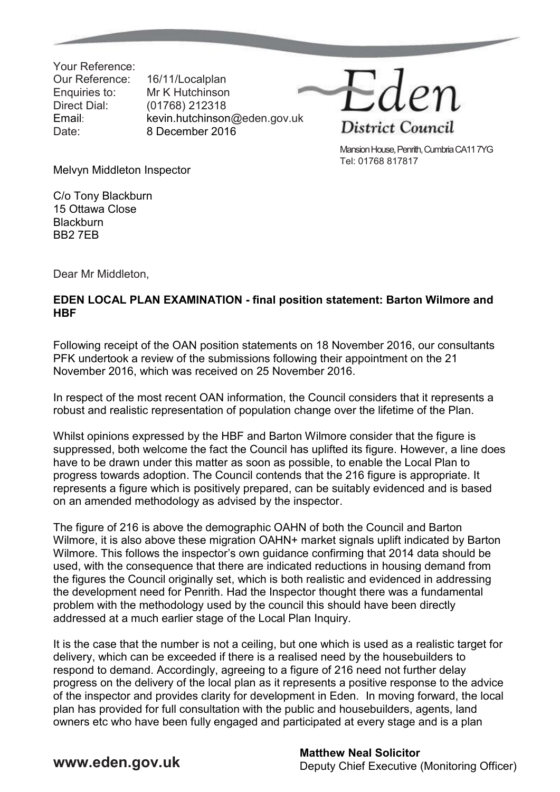Your Reference: Our Reference: 16/11/Localplan Enquiries to: Mr K Hutchinson Direct Dial: (01768) 212318

Email: kevin.hutchinson@eden.gov.uk Date: 8 December 2016



Mansion House, Penrith, Cumbria CA11 7YG Tel: 01768 817817

Melvyn Middleton Inspector

C/o Tony Blackburn 15 Ottawa Close **Blackburn** BB2 7EB

Dear Mr Middleton,

## **EDEN LOCAL PLAN EXAMINATION - final position statement: Barton Wilmore and HBF**

Following receipt of the OAN position statements on 18 November 2016, our consultants PFK undertook a review of the submissions following their appointment on the 21 November 2016, which was received on 25 November 2016.

In respect of the most recent OAN information, the Council considers that it represents a robust and realistic representation of population change over the lifetime of the Plan.

Whilst opinions expressed by the HBF and Barton Wilmore consider that the figure is suppressed, both welcome the fact the Council has uplifted its figure. However, a line does have to be drawn under this matter as soon as possible, to enable the Local Plan to progress towards adoption. The Council contends that the 216 figure is appropriate. It represents a figure which is positively prepared, can be suitably evidenced and is based on an amended methodology as advised by the inspector.

The figure of 216 is above the demographic OAHN of both the Council and Barton Wilmore, it is also above these migration OAHN+ market signals uplift indicated by Barton Wilmore. This follows the inspector's own guidance confirming that 2014 data should be used, with the consequence that there are indicated reductions in housing demand from the figures the Council originally set, which is both realistic and evidenced in addressing the development need for Penrith. Had the Inspector thought there was a fundamental problem with the methodology used by the council this should have been directly addressed at a much earlier stage of the Local Plan Inquiry.

It is the case that the number is not a ceiling, but one which is used as a realistic target for delivery, which can be exceeded if there is a realised need by the housebuilders to respond to demand. Accordingly, agreeing to a figure of 216 need not further delay progress on the delivery of the local plan as it represents a positive response to the advice of the inspector and provides clarity for development in Eden. In moving forward, the local plan has provided for full consultation with the public and housebuilders, agents, land owners etc who have been fully engaged and participated at every stage and is a plan

## **WWW.eden.gov.uk Matthew Neal Solicitor**<br> **Matthew Neal Solicitor** Deputy Chief Executive (Monitoring Officer)